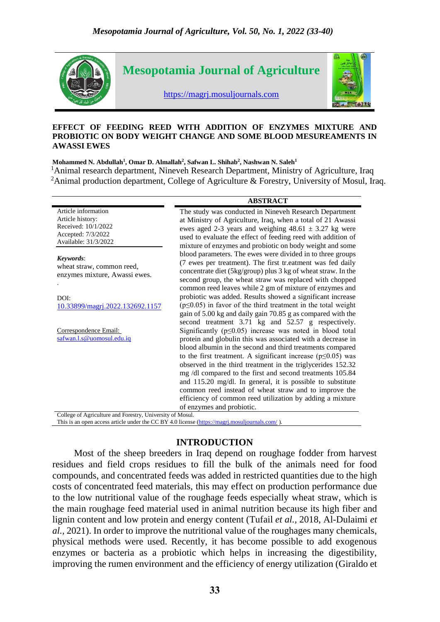

#### **EFFECT OF FEEDING REED WITH ADDITION OF ENZYMES MIXTURE AND PROBIOTIC ON BODY WEIGHT CHANGE AND SOME BLOOD MESUREAMENTS IN AWASSI EWES**

#### **Mohammed N. Abdullah<sup>1</sup> , Omar D. Almallah<sup>2</sup> , Safwan L. Shihab<sup>2</sup> , Nashwan N. Saleh<sup>1</sup>**

<sup>1</sup>Animal research department, Nineveh Research Department, Ministry of Agriculture, Iraq <sup>2</sup>Animal production department, College of Agriculture & Forestry, University of Mosul, Iraq.

|                                                                                                              | <b>ABSTRACT</b>                                                                                                                                                                                                                                                                                                                                                                                                                                                                                                                                                                                                   |
|--------------------------------------------------------------------------------------------------------------|-------------------------------------------------------------------------------------------------------------------------------------------------------------------------------------------------------------------------------------------------------------------------------------------------------------------------------------------------------------------------------------------------------------------------------------------------------------------------------------------------------------------------------------------------------------------------------------------------------------------|
| Article information<br>Article history:<br>Received: 10/1/2022<br>Accepted: 7/3/2022<br>Available: 31/3/2022 | The study was conducted in Nineveh Research Department<br>at Ministry of Agriculture, Iraq, when a total of 21 Awassi<br>ewes aged 2-3 years and weighing $48.61 \pm 3.27$ kg were<br>used to evaluate the effect of feeding reed with addition of<br>mixture of enzymes and probiotic on body weight and some                                                                                                                                                                                                                                                                                                    |
| Keywords:<br>wheat straw, common reed,<br>enzymes mixture, Awassi ewes.                                      | blood parameters. The ewes were divided in to three groups<br>(7 ewes per treatment). The first tr.eatment was fed daily<br>concentrate diet (5kg/group) plus 3 kg of wheat straw. In the<br>second group, the wheat straw was replaced with chopped<br>common reed leaves while 2 gm of mixture of enzymes and                                                                                                                                                                                                                                                                                                   |
| DOI:<br>10.33899/magrj.2022.132692.1157                                                                      | probiotic was added. Results showed a significant increase<br>$(p \le 0.05)$ in favor of the third treatment in the total weight<br>gain of 5.00 kg and daily gain 70.85 g as compared with the<br>second treatment 3.71 kg and 52.57 g respectively.                                                                                                                                                                                                                                                                                                                                                             |
| Correspondence Email:<br>safwan.l.s@uomosul.edu.iq                                                           | Significantly ( $p \leq 0.05$ ) increase was noted in blood total<br>protein and globulin this was associated with a decrease in<br>blood albumin in the second and third treatments compared<br>to the first treatment. A significant increase ( $p \le 0.05$ ) was<br>observed in the third treatment in the triglycerides 152.32<br>mg /dl compared to the first and second treatments 105.84<br>and 115.20 mg/dl. In general, it is possible to substitute<br>common reed instead of wheat straw and to improve the<br>efficiency of common reed utilization by adding a mixture<br>of enzymes and probiotic. |
| College of Agriculture and Forestry, University of Mosul.                                                    |                                                                                                                                                                                                                                                                                                                                                                                                                                                                                                                                                                                                                   |

This is an open access article under the CC BY 4.0 license [\(https://magrj.mosuljournals.com/](https://magrj.mosuljournals.com/) ).

# **INTRODUCTION**

 Most of the sheep breeders in Iraq depend on roughage fodder from harvest residues and field crops residues to fill the bulk of the animals need for food compounds, and concentrated feeds was added in restricted quantities due to the high costs of concentrated feed materials, this may effect on production performance due to the low nutritional value of the roughage feeds especially wheat straw, which is the main roughage feed material used in animal nutrition because its high fiber and lignin content and low protein and energy content (Tufail *et al.,* 2018, Al-Dulaimi *et al.,* 2021). In order to improve the nutritional value of the roughages many chemicals, physical methods were used. Recently, it has become possible to add exogenous enzymes or bacteria as a probiotic which helps in increasing the digestibility, improving the rumen environment and the efficiency of energy utilization (Giraldo et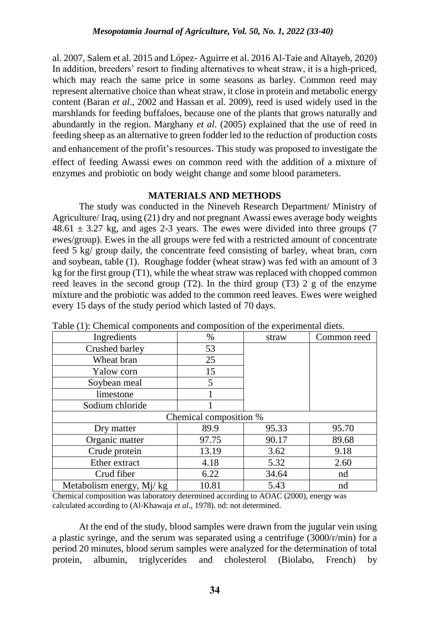al. 2007, Salem et al. 2015 and López- Aguirre et al. 2016 Al-Taie and Altayeb, 2020) In addition, breeders' resort to finding alternatives to wheat straw, it is a high-priced, which may reach the same price in some seasons as barley. Common reed may represent alternative choice than wheat straw, it close in protein and metabolic energy content (Baran *et al*., 2002 and Hassan et al. 2009), reed is used widely used in the marshlands for feeding buffaloes, because one of the plants that grows naturally and abundantly in the region. Marghany *et al*. (2005) explained that the use of reed in feeding sheep as an alternative to green fodder led to the reduction of production costs and enhancement of the profit's resources. This study was proposed to investigate the effect of feeding Awassi ewes on common reed with the addition of a mixture of enzymes and probiotic on body weight change and some blood parameters.

# **MATERIALS AND METHODS**

The study was conducted in the Nineveh Research Department/ Ministry of Agriculture/ Iraq, using (21) dry and not pregnant Awassi ewes average body weights  $48.61 \pm 3.27$  kg, and ages 2-3 years. The ewes were divided into three groups (7) ewes/group). Ewes in the all groups were fed with a restricted amount of concentrate feed 5 kg/ group daily, the concentrate feed consisting of barley, wheat bran, corn and soybean, table (1). Roughage fodder (wheat straw) was fed with an amount of 3 kg for the first group (T1), while the wheat straw was replaced with chopped common reed leaves in the second group (T2). In the third group (T3) 2 g of the enzyme mixture and the probiotic was added to the common reed leaves. Ewes were weighed every 15 days of the study period which lasted of 70 days.

| Ingredients              | $\%$                   | straw | Common reed |
|--------------------------|------------------------|-------|-------------|
| Crushed barley           | 53                     |       |             |
| Wheat bran               | 25                     |       |             |
| Yalow corn               | 15                     |       |             |
| Soybean meal             | 5                      |       |             |
| limestone                |                        |       |             |
| Sodium chloride          |                        |       |             |
|                          | Chemical composition % |       |             |
| Dry matter               | 89.9                   | 95.33 | 95.70       |
| Organic matter           | 97.75                  | 90.17 | 89.68       |
| Crude protein            | 13.19                  | 3.62  | 9.18        |
| Ether extract            | 4.18                   | 5.32  | 2.60        |
| Crud fiber               | 6.22                   | 34.64 | nd          |
| Metabolism energy, Mj/kg | 10.81                  | 5.43  | nd          |

Table (1): Chemical components and composition of the experimental diets.

Chemical composition was laboratory determined according to AOAC (2000), energy was calculated according to (Al-Khawaja *et al*., 1978). nd: not determined.

At the end of the study, blood samples were drawn from the jugular vein using a plastic syringe, and the serum was separated using a centrifuge (3000/r/min) for a period 20 minutes, blood serum samples were analyzed for the determination of total protein, albumin, triglycerides and cholesterol (Biolabo, French) by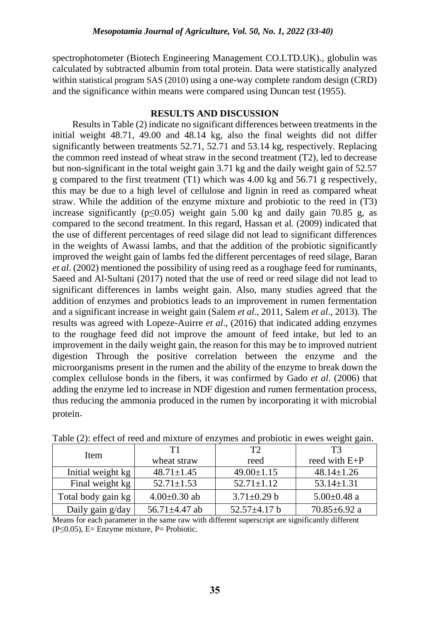spectrophotometer (Biotech Engineering Management CO.LTD.UK)., globulin was calculated by subtracted albumin from total protein. Data were statistically analyzed within statistical program SAS (2010) using a one-way complete random design (CRD) and the significance within means were compared using Duncan test (1955).

## **RESULTS AND DISCUSSION**

Results in Table (2) indicate no significant differences between treatments in the initial weight 48.71, 49.00 and 48.14 kg, also the final weights did not differ significantly between treatments 52.71, 52.71 and 53.14 kg, respectively. Replacing the common reed instead of wheat straw in the second treatment (T2), led to decrease but non-significant in the total weight gain 3.71 kg and the daily weight gain of 52.57 g compared to the first treatment (T1) which was 4.00 kg and 56.71 g respectively, this may be due to a high level of cellulose and lignin in reed as compared wheat straw. While the addition of the enzyme mixture and probiotic to the reed in (T3) increase significantly ( $p \le 0.05$ ) weight gain 5.00 kg and daily gain 70.85 g, as compared to the second treatment. In this regard, Hassan et al. (2009) indicated that the use of different percentages of reed silage did not lead to significant differences in the weights of Awassi lambs, and that the addition of the probiotic significantly improved the weight gain of lambs fed the different percentages of reed silage, Baran *et al*. (2002) mentioned the possibility of using reed as a roughage feed for ruminants, Saeed and Al-Sultani (2017) noted that the use of reed or reed silage did not lead to significant differences in lambs weight gain. Also, many studies agreed that the addition of enzymes and probiotics leads to an improvement in rumen fermentation and a significant increase in weight gain (Salem *et al*., 2011, Salem *et al*., 2013). The results was agreed with Lopeze-Auirre *et al*., (2016) that indicated adding enzymes to the roughage feed did not improve the amount of feed intake, but led to an improvement in the daily weight gain, the reason for this may be to improved nutrient digestion Through the positive correlation between the enzyme and the microorganisms present in the rumen and the ability of the enzyme to break down the complex cellulose bonds in the fibers, it was confirmed by Gado *et al*. (2006) that adding the enzyme led to increase in NDF digestion and rumen fermentation process, thus reducing the ammonia produced in the rumen by incorporating it with microbial protein.

|                    |                     |                    | ັັ                 |
|--------------------|---------------------|--------------------|--------------------|
| Item               | T1                  | T2                 | T3                 |
|                    | wheat straw         | reed               | reed with $E+P$    |
| Initial weight kg  | $48.71 \pm 1.45$    | $49.00 \pm 1.15$   | $48.14 \pm 1.26$   |
| Final weight kg    | $52.71 \pm 1.53$    | $52.71 \pm 1.12$   | $53.14 \pm 1.31$   |
| Total body gain kg | $4.00 \pm 0.30$ ab  | $3.71 \pm 0.29$ b  | $5.00 \pm 0.48$ a  |
| Daily gain g/day   | 56.71 $\pm$ 4.47 ab | $52.57 \pm 4.17$ b | 70.85 $\pm$ 6.92 a |

|  |  | Table (2): effect of reed and mixture of enzymes and probiotic in ewes weight gain. |  |  |  |  |
|--|--|-------------------------------------------------------------------------------------|--|--|--|--|
|  |  |                                                                                     |  |  |  |  |
|  |  |                                                                                     |  |  |  |  |

Means for each parameter in the same raw with different superscript are significantly different  $(P \le 0.05)$ , E= Enzyme mixture, P= Probiotic.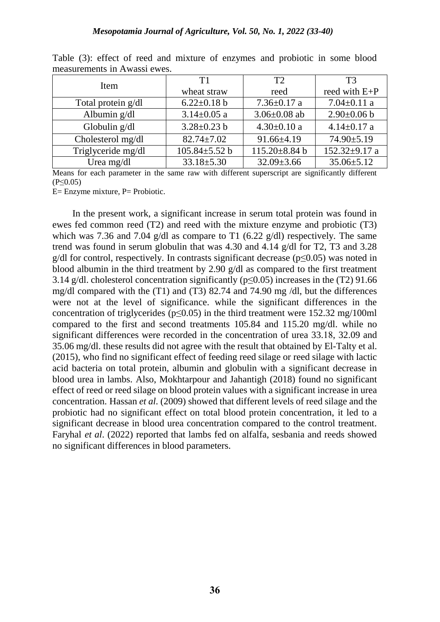| Item               | T1                  | T2                  | T <sub>3</sub>      |  |
|--------------------|---------------------|---------------------|---------------------|--|
|                    | wheat straw         | reed                | reed with $E+P$     |  |
| Total protein g/dl | $6.22 \pm 0.18$ b   | $7.36 \pm 0.17$ a   | $7.04 \pm 0.11$ a   |  |
| Albumin g/dl       | $3.14 \pm 0.05$ a   | $3.06 \pm 0.08$ ab  | $2.90 \pm 0.06$ b   |  |
| Globulin g/dl      | $3.28 \pm 0.23$ b   | $4.30 \pm 0.10$ a   | $4.14 \pm 0.17$ a   |  |
| Cholesterol mg/dl  | $82.74 \pm 7.02$    | $91.66 \pm 4.19$    | $74.90 \pm 5.19$    |  |
| Triglyceride mg/dl | $105.84 \pm 5.52$ b | $115.20 \pm 8.84$ b | 152.32 $\pm$ 9.17 a |  |
| Urea mg/dl         | $33.18 \pm 5.30$    | $32.09 \pm 3.66$    | $35.06 \pm 5.12$    |  |

Table (3): effect of reed and mixture of enzymes and probiotic in some blood measurements in Awassi ewes.

Means for each parameter in the same raw with different superscript are significantly different  $(P \le 0.05)$ 

E= Enzyme mixture, P= Probiotic.

In the present work, a significant increase in serum total protein was found in ewes fed common reed (T2) and reed with the mixture enzyme and probiotic (T3) which was 7.36 and 7.04 g/dl as compare to T1 (6.22 g/dl) respectively. The same trend was found in serum globulin that was 4.30 and 4.14 g/dl for T2, T3 and 3.28  $g/dl$  for control, respectively. In contrasts significant decrease ( $p \le 0.05$ ) was noted in blood albumin in the third treatment by 2.90 g/dl as compared to the first treatment 3.14 g/dl. cholesterol concentration significantly (p≤0.05) increases in the (T2) 91.66 mg/dl compared with the (T1) and (T3) 82.74 and 74.90 mg /dl, but the differences were not at the level of significance. while the significant differences in the concentration of triglycerides ( $p \le 0.05$ ) in the third treatment were 152.32 mg/100ml compared to the first and second treatments 105.84 and 115.20 mg/dl. while no significant differences were recorded in the concentration of urea 33.18, 32.09 and 35.06 mg/dl. these results did not agree with the result that obtained by El-Talty et al. (2015), who find no significant effect of feeding reed silage or reed silage with lactic acid bacteria on total protein, albumin and globulin with a significant decrease in blood urea in lambs. Also, Mokhtarpour and Jahantigh (2018) found no significant effect of reed or reed silage on blood protein values with a significant increase in urea concentration. Hassan *et al*. (2009) showed that different levels of reed silage and the probiotic had no significant effect on total blood protein concentration, it led to a significant decrease in blood urea concentration compared to the control treatment. Faryhal *et al*. (2022) reported that lambs fed on alfalfa, sesbania and reeds showed no significant differences in blood parameters.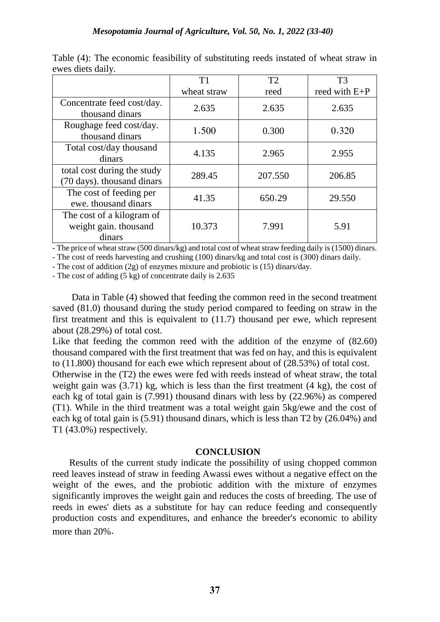|                                                              | T1          | T2      | T <sub>3</sub>  |
|--------------------------------------------------------------|-------------|---------|-----------------|
|                                                              | wheat straw | reed    | reed with $E+P$ |
| Concentrate feed cost/day.<br>thousand dinars                | 2.635       | 2.635   | 2.635           |
| Roughage feed cost/day.<br>thousand dinars                   | 1.500       | 0.300   | 0.320           |
| Total cost/day thousand<br>dinars                            | 4.135       | 2.965   | 2.955           |
| total cost during the study<br>(70 days). thousand dinars    | 289.45      | 207.550 | 206.85          |
| The cost of feeding per<br>ewe. thousand dinars              | 41.35       | 650.29  | 29.550          |
| The cost of a kilogram of<br>weight gain. thousand<br>dinars | 10.373      | 7.991   | 5.91            |

Table (4): The economic feasibility of substituting reeds instated of wheat straw in ewes diets daily.

- The price of wheat straw (500 dinars/kg) and total cost of wheat straw feeding daily is (1500) dinars.

- The cost of reeds harvesting and crushing (100) dinars/kg and total cost is (300) dinars daily.

- The cost of addition (2g) of enzymes mixture and probiotic is (15) dinars/day.

- The cost of adding (5 kg) of concentrate daily is 2.635

 Data in Table (4) showed that feeding the common reed in the second treatment saved (81.0) thousand during the study period compared to feeding on straw in the first treatment and this is equivalent to (11.7) thousand per ewe, which represent about (28.29%) of total cost.

Like that feeding the common reed with the addition of the enzyme of (82.60) thousand compared with the first treatment that was fed on hay, and this is equivalent to (11.800) thousand for each ewe which represent about of (28.53%) of total cost.

Otherwise in the (T2) the ewes were fed with reeds instead of wheat straw, the total weight gain was (3.71) kg, which is less than the first treatment (4 kg), the cost of each kg of total gain is (7.991) thousand dinars with less by (22.96%) as compered (T1). While in the third treatment was a total weight gain 5kg/ewe and the cost of each kg of total gain is (5.91) thousand dinars, which is less than T2 by (26.04%) and T1 (43.0%) respectively.

### **CONCLUSION**

 Results of the current study indicate the possibility of using chopped common reed leaves instead of straw in feeding Awassi ewes without a negative effect on the weight of the ewes, and the probiotic addition with the mixture of enzymes significantly improves the weight gain and reduces the costs of breeding. The use of reeds in ewes' diets as a substitute for hay can reduce feeding and consequently production costs and expenditures, and enhance the breeder's economic to ability more than 20%.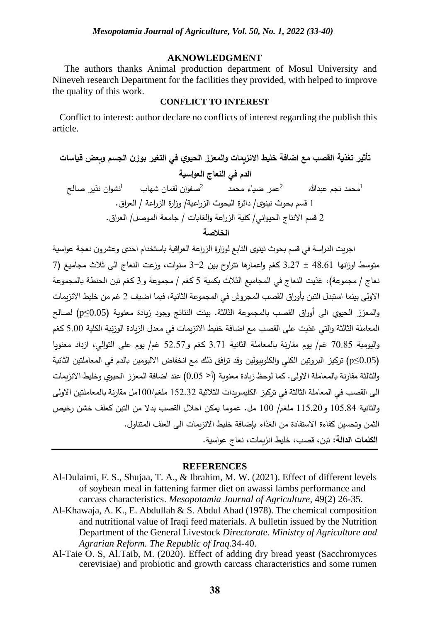#### **AKNOWLEDGMENT**

 The authors thanks Animal production department of Mosul University and Nineveh research Department for the facilities they provided, with helped to improve the quality of this work.

### **CONFLICT TO INTEREST**

 Conflict to interest: author declare no conflicts of interest regarding the publish this article.

**تأثير تغذية القصب مع اضافة خليط االنزيمات والمعزز الحيوي في التغير بوزن الجسم وبعض قياسات الدم في النعاج العواسية**  <sup>1</sup>محمد نجم عبدهللا <sup>2</sup> نشوان نذير صالح <sup>2</sup>صفوان لقمان شهاب <sup>1</sup> عمر ضياء محمد 1 قسم بحوث نينوى/ دائرة البحوث الز ارعية/ و ازرة الز ارعة / الع ارق. 2 قسم االنتاج الحيواني/ كلية الزراعة والغابات / جامعة الموصل/ العراق. **الخالصة**

اجريت الدراسة في قسم بحوث نينوى التابع لوزارة الزراعة العراقية باستخدام احدى وعشرون نعجة عواسية متوسط اوزانها 48.61 ± 3.27 كغم واعمارها تتراوح بين 3-2 سنوات، وزعت النعاج الى ثالث مجاميع )7 نعاج / مجموعة)، غذيت النعاج في المجاميع الثلاث بكمية 5 كغم / مجموعة و 3 كغم تبن الحنطة بالمجموعة االولى بينما استبدل التبن بأوراق القصب المجروش في المجموعة الثانية، فيما اضيف 2 غم من خليط االنزيمات والمعزز الحيوي الى أوراق القصب بالمجموعة الثالثة. بينت النتائج وجود زيادة معنوية )0.05≥p )لصالح المعاملة الثالثة والتي غذيت على القصب مع اضافة خليط االنزيمات في معدل الزيادة الوزنية الكلية 5.00 كغم واليومية 70.85 غم/ يوم مقارنة بالمعاملة الثانية 3.71 كغم و52.57 غم/ يوم على التوالي، ازداد معنويا )0.05≥p )تركيز البروتين الكلي والكلوبيولين وقد ترافق ذلك مع انخفاض االلبومين بالدم في المعاملتين الثانية والثالثة مقارنة بالمعاملة الاولى. كما لوحظ زيادة معنوية (أ< 0.05) عند اضافة المعزز الحيوي وخليط الانزيمات الى القصب في المعاملة الثالثة في تركيز الكليسريدات الثالثية 152.32 ملغم100/مل مقارنة بالمعاملتين االولى والثانية 105.84 و115.20 ملغم/ 100 مل. عموما يمكن احالل القصب بدال من التبن كعلف خشن رخيص الثمن وتحسين كفاءة االستفادة من الغذاء بإضافة خليط االنزيمات الى العلف المتناول. **الكلمات الدالة:** تبن، قصب، خليط انزيمات، نعاج عواسية.

#### **REFERENCES**

- Al-Dulaimi, F. S., Shujaa, T. A., & Ibrahim, M. W. (2021). Effect of different levels of soybean meal in fattening farmer diet on awassi lambs performance and carcass characteristics. *Mesopotamia Journal of Agriculture*, 49(2) 26-35.
- Al-Khawaja, A. K., E. Abdullah & S. Abdul Ahad (1978). The chemical composition and nutritional value of Iraqi feed materials. A bulletin issued by the Nutrition Department of the General Livestock *Directorate. Ministry of Agriculture and Agrarian Reform. The Republic of Iraq.*34-40.
- Al-Taie O. S, Al.Taib, M. (2020). Effect of adding dry bread yeast (Sacchromyces cerevisiae) and probiotic and growth carcass characteristics and some rumen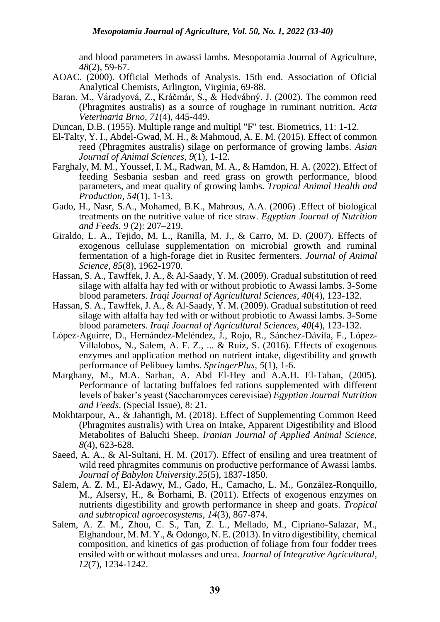and blood parameters in awassi lambs. Mesopotamia Journal of Agriculture, *48*(2), 59-67.

- AOAC. (2000). Official Methods of Analysis. 15th end. Association of Oficial Analytical Chemists, Arlington, Virginia, 69-88.
- Baran, M., Váradyová, Z., Kráčmár, S., & Hedvábný, J. (2002). The common reed (Phragmites australis) as a source of roughage in ruminant nutrition. *Acta Veterinaria Brno, 71*(4), 445-449.
- Duncan, D.B. (1955). Multiple range and multipl "F" test. Biometrics, 11: 1-12.
- El-Talty, Y. I., Abdel-Gwad, M. H., & Mahmoud, A. E. M. (2015). Effect of common reed (Phragmites australis) silage on performance of growing lambs. *Asian Journal of Animal Sciences, 9*(1), 1-12.
- Farghaly, M. M., Youssef, I. M., Radwan, M. A., & Hamdon, H. A. (2022). Effect of feeding Sesbania sesban and reed grass on growth performance, blood parameters, and meat quality of growing lambs. *Tropical Animal Health and Production, 54*(1), 1-13.
- Gado, H., Nasr, S.A., Mohamed, B.K., Mahrous, A.A. (2006) .Effect of biological treatments on the nutritive value of rice straw. *Egyptian Journal of Nutrition and Feeds. 9* (2): 207–219.
- Giraldo, L. A., Tejido, M. L., Ranilla, M. J., & Carro, M. D. (2007). Effects of exogenous cellulase supplementation on microbial growth and ruminal fermentation of a high-forage diet in Rusitec fermenters. *Journal of Animal Science, 85*(8), 1962-1970.
- Hassan, S. A., Tawffek, J. A., & Al-Saady, Y. M. (2009). Gradual substitution of reed silage with alfalfa hay fed with or without probiotic to Awassi lambs. 3-Some blood parameters. *Iraqi Journal of Agricultural Sciences, 40*(4), 123-132.
- Hassan, S. A., Tawffek, J. A., & Al-Saady, Y. M. (2009). Gradual substitution of reed silage with alfalfa hay fed with or without probiotic to Awassi lambs. 3-Some blood parameters. *Iraqi Journal of Agricultural Sciences, 40*(4), 123-132.
- López-Aguirre, D., Hernández-Meléndez, J., Rojo, R., Sánchez-Dávila, F., López-Villalobos, N., Salem, A. F. Z., ... & Ruíz, S. (2016). Effects of exogenous enzymes and application method on nutrient intake, digestibility and growth performance of Pelibuey lambs. *SpringerPlus, 5*(1), 1-6.
- Marghany, M., M.A. Sarhan, A. Abd El-Hey and A.A.H. El-Tahan, (2005). Performance of lactating buffaloes fed rations supplemented with different levels of baker's yeast (Saccharomyces cerevisiae) *Egyptian Journal Nutrition and Feeds*. (Special Issue), 8: 21.
- Mokhtarpour, A., & Jahantigh, M. (2018). Effect of Supplementing Common Reed (Phragmites australis) with Urea on Intake, Apparent Digestibility and Blood Metabolites of Baluchi Sheep. *Iranian Journal of Applied Animal Science, 8*(4), 623-628.
- Saeed, A. A., & Al-Sultani, H. M. (2017). Effect of ensiling and urea treatment of wild reed phragmites communis on productive performance of Awassi lambs. *Journal of Babylon University.25*(5), 1837-1850.
- Salem, A. Z. M., El-Adawy, M., Gado, H., Camacho, L. M., González-Ronquillo, M., Alsersy, H., & Borhami, B. (2011). Effects of exogenous enzymes on nutrients digestibility and growth performance in sheep and goats. *Tropical and subtropical agroecosystems, 14*(3), 867-874.
- Salem, A. Z. M., Zhou, C. S., Tan, Z. L., Mellado, M., Cipriano-Salazar, M., Elghandour, M. M. Y., & Odongo, N. E. (2013). In vitro digestibility, chemical composition, and kinetics of gas production of foliage from four fodder trees ensiled with or without molasses and urea. *Journal of Integrative Agricultural, 12*(7), 1234-1242.